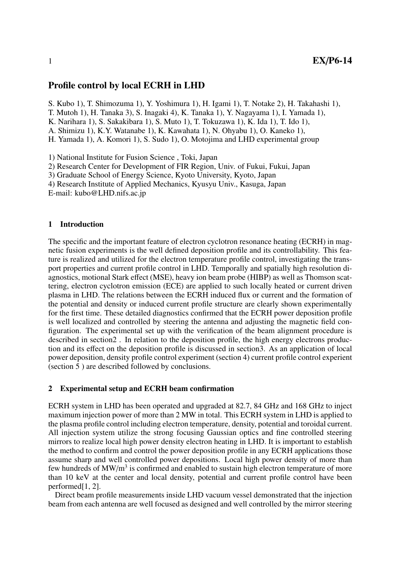# Profile control by local ECRH in LHD

S. Kubo 1), T. Shimozuma 1), Y. Yoshimura 1), H. Igami 1), T. Notake 2), H. Takahashi 1),

T. Mutoh 1), H. Tanaka 3), S. Inagaki 4), K. Tanaka 1), Y. Nagayama 1), I. Yamada 1),

K. Narihara 1), S. Sakakibara 1), S. Muto 1), T. Tokuzawa 1), K. Ida 1), T. Ido 1),

A. Shimizu 1), K.Y. Watanabe 1), K. Kawahata 1), N. Ohyabu 1), O. Kaneko 1),

H. Yamada 1), A. Komori 1), S. Sudo 1), O. Motojima and LHD experimental group

1) National Institute for Fusion Science , Toki, Japan

2) Research Center for Development of FIR Region, Univ. of Fukui, Fukui, Japan

3) Graduate School of Energy Science, Kyoto University, Kyoto, Japan

4) Research Institute of Applied Mechanics, Kyusyu Univ., Kasuga, Japan

E-mail: kubo@LHD.nifs.ac.jp

## 1 Introduction

The specific and the important feature of electron cyclotron resonance heating (ECRH) in magnetic fusion experiments is the well defined deposition profile and its controllability. This feature is realized and utilized for the electron temperature profile control, investigating the transport properties and current profile control in LHD. Temporally and spatially high resolution diagnostics, motional Stark effect (MSE), heavy ion beam probe (HIBP) as well as Thomson scattering, electron cyclotron emission (ECE) are applied to such locally heated or current driven plasma in LHD. The relations between the ECRH induced flux or current and the formation of the potential and density or induced current profile structure are clearly shown experimentally for the first time. These detailed diagnostics confirmed that the ECRH power deposition profile is well localized and controlled by steering the antenna and adjusting the magnetic field configuration. The experimental set up with the verification of the beam alignment procedure is described in section2 . In relation to the deposition profile, the high energy electrons production and its effect on the deposition profile is discussed in section3. As an application of local power deposition, density profile control experiment (section 4) current profile control experient (section 5 ) are described followed by conclusions.

### 2 Experimental setup and ECRH beam confirmation

ECRH system in LHD has been operated and upgraded at 82.7, 84 GHz and 168 GHz to inject maximum injection power of more than 2 MW in total. This ECRH system in LHD is applied to the plasma profile control including electron temperature, density, potential and toroidal current. All injection system utilize the strong focusing Gaussian optics and fine controlled steering mirrors to realize local high power density electron heating in LHD. It is important to establish the method to confirm and control the power deposition profile in any ECRH applications those assume sharp and well controlled power depositions. Local high power density of more than few hundreds of MW/m<sup>3</sup> is confirmed and enabled to sustain high electron temperature of more than 10 keV at the center and local density, potential and current profile control have been performed[1, 2].

Direct beam profile measurements inside LHD vacuum vessel demonstrated that the injection beam from each antenna are well focused as designed and well controlled by the mirror steering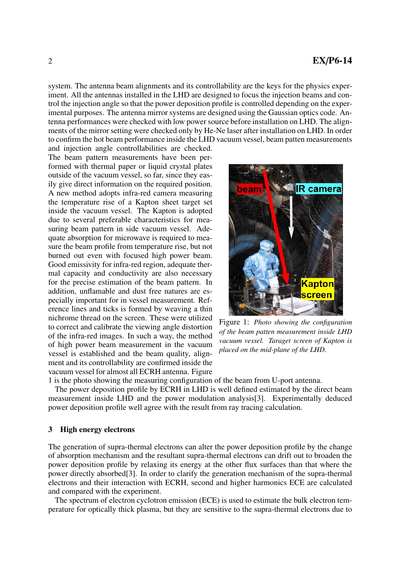system. The antenna beam alignments and its controllability are the keys for the physics experiment. All the antennas installed in the LHD are designed to focus the injection beams and control the injection angle so that the power deposition profile is controlled depending on the experimental purposes. The antenna mirror systems are designed using the Gaussian optics code. Antenna performances were checked with low power source before installation on LHD. The alignments of the mirror setting were checked only by He-Ne laser after installation on LHD. In order to confirm the hot beam performance inside the LHD vacuum vessel, beam patten measurements

and injection angle controllabilities are checked. The beam pattern measurements have been performed with thermal paper or liquid crystal plates outside of the vacuum vessel, so far, since they easily give direct information on the required position. A new method adopts infra-red camera measuring the temperature rise of a Kapton sheet target set inside the vacuum vessel. The Kapton is adopted due to several preferable characteristics for measuring beam pattern in side vacuum vessel. Adequate absorption for microwave is required to measure the beam profile from temperature rise, but not burned out even with focused high power beam. Good emissivity for infra-red region, adequate thermal capacity and conductivity are also necessary for the precise estimation of the beam pattern. In addition, unflamable and dust free natures are especially important for in vessel measurement. Reference lines and ticks is formed by weaving a thin nichrome thread on the screen. These were utilized to correct and calibrate the viewing angle distortion of the infra-red images. In such a way, the method of high power beam measurement in the vacuum vessel is established and the beam quality, alignment and its controllability are confirmed inside the vacuum vessel for almost all ECRH antenna. Figure



Figure 1: *Photo showing the configuration of the beam patten measurement inside LHD vacuum vessel. Taraget screen of Kapton is placed on the mid-plane of the LHD.*

1 is the photo showing the measuring configuration of the beam from U-port antenna.

The power deposition profile by ECRH in LHD is well defined estimated by the direct beam measurement inside LHD and the power modulation analysis[3]. Experimentally deduced power deposition profile well agree with the result from ray tracing calculation.

#### 3 High energy electrons

The generation of supra-thermal electrons can alter the power deposition profile by the change of absorption mechanism and the resultant supra-thermal electrons can drift out to broaden the power deposition profile by relaxing its energy at the other flux surfaces than that where the power directly absorbed[3]. In order to clarify the generation mechanism of the supra-thermal electrons and their interaction with ECRH, second and higher harmonics ECE are calculated and compared with the experiment.

The spectrum of electron cyclotron emission (ECE) is used to estimate the bulk electron temperature for optically thick plasma, but they are sensitive to the supra-thermal electrons due to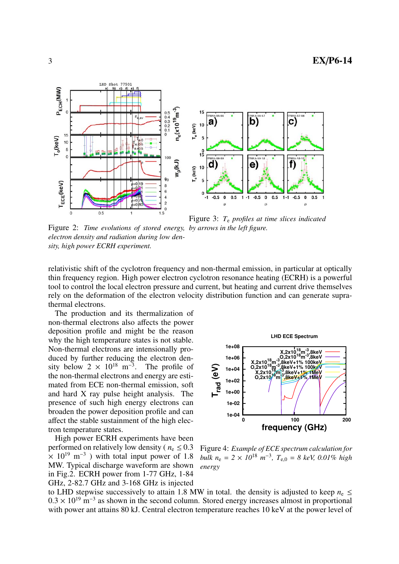



Figure 3: *T*<sup>e</sup> *profiles at time slices indicated*

Figure 2: *Time evolutions of stored energy, by arrows in the left figure. electron density and radiation during low density, high power ECRH experiment.*

relativistic shift of the cyclotron frequency and non-thermal emission, in particular at optically thin frequency region. High power electron cyclotron resonance heating (ECRH) is a powerful tool to control the local electron pressure and current, but heating and current drive themselves rely on the deformation of the electron velocity distribution function and can generate suprathermal electrons.

The production and its thermalization of non-thermal electrons also affects the power deposition profile and might be the reason why the high temperature states is not stable. Non-thermal electrons are intensionally produced by further reducing the electron density below  $2 \times 10^{18}$  m<sup>-3</sup>. The profile of the non-thermal electrons and energy are estimated from ECE non-thermal emission, soft and hard X ray pulse height analysis. The presence of such high energy electrons can broaden the power deposition profile and can affect the stable sustainment of the high electron temperature states.

High power ECRH experiments have been performed on relatively low density ( $n_e \leq 0.3$ )  $\times$  10<sup>19</sup> m<sup>-3</sup>) with total input power of 1.8 MW. Typical discharge waveform are shown in Fig.2. ECRH power from 1-77 GHz, 1-84 GHz, 2-82.7 GHz and 3-168 GHz is injected



Figure 4: *Example of ECE spectrum calculation for*  $bulk \, n_{\rm e} = 2 \times 10^{18} \, m^{-3}, \, T_{\rm e,0} = 8 \, keV, \, 0.01\% \, high$ *energy*

to LHD stepwise successively to attain 1.8 MW in total. the density is adjusted to keep  $n_e \leq$  $0.3 \times 10^{19}$  m<sup>-3</sup> as shown in the second column. Stored energy increases almost in proportional with power ant attains 80 kJ. Central electron temperature reaches 10 keV at the power level of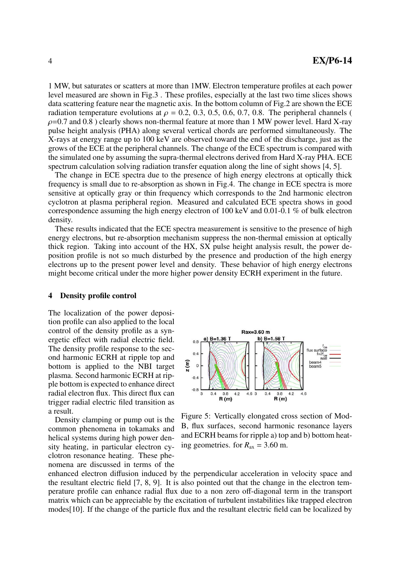1 MW, but saturates or scatters at more than 1MW. Electron temperature profiles at each power level measured are shown in Fig.3 . These profiles, especially at the last two time slices shows data scattering feature near the magnetic axis. In the bottom column of Fig.2 are shown the ECE radiation temperature evolutions at  $\rho = 0.2, 0.3, 0.5, 0.6, 0.7, 0.8$ . The peripheral channels (  $\rho$ =0.7 and 0.8) clearly shows non-thermal feature at more than 1 MW power level. Hard X-ray pulse height analysis (PHA) along several vertical chords are performed simultaneously. The X-rays at energy range up to 100 keV are observed toward the end of the discharge, just as the grows of the ECE at the peripheral channels. The change of the ECE spectrum is compared with the simulated one by assuming the supra-thermal electrons derived from Hard X-ray PHA. ECE spectrum calculation solving radiation transfer equation along the line of sight shows [4, 5].

The change in ECE spectra due to the presence of high energy electrons at optically thick frequency is small due to re-absorption as shown in Fig.4. The change in ECE spectra is more sensitive at optically gray or thin frequency which corresponds to the 2nd harmonic electron cyclotron at plasma peripheral region. Measured and calculated ECE spectra shows in good correspondence assuming the high energy electron of 100 keV and 0.01-0.1 % of bulk electron density.

These results indicated that the ECE spectra measurement is sensitive to the presence of high energy electrons, but re-absorption mechanism suppress the non-thermal emission at optically thick region. Taking into account of the HX, SX pulse height analysis result, the power deposition profile is not so much disturbed by the presence and production of the high energy electrons up to the present power level and density. These behavior of high energy electrons might become critical under the more higher power density ECRH experiment in the future.

#### 4 Density profile control

The localization of the power deposition profile can also applied to the local control of the density profile as a synergetic effect with radial electric field. The density profile response to the second harmonic ECRH at ripple top and bottom is applied to the NBI target plasma. Second harmonic ECRH at ripple bottom is expected to enhance direct radial electron flux. This direct flux can trigger radial electric filed transition as a result.

Density clamping or pump out is the common phenomena in tokamaks and helical systems during high power density heating, in particular electron cyclotron resonance heating. These phenomena are discussed in terms of the



Figure 5: Vertically elongated cross section of Mod-B, flux surfaces, second harmonic resonance layers and ECRH beams for ripple a) top and b) bottom heating geometries. for  $R_{ax} = 3.60$  m.

enhanced electron diffusion induced by the perpendicular acceleration in velocity space and the resultant electric field [7, 8, 9]. It is also pointed out that the change in the electron temperature profile can enhance radial flux due to a non zero off-diagonal term in the transport matrix which can be appreciable by the excitation of turbulent instabilities like trapped electron modes[10]. If the change of the particle flux and the resultant electric field can be localized by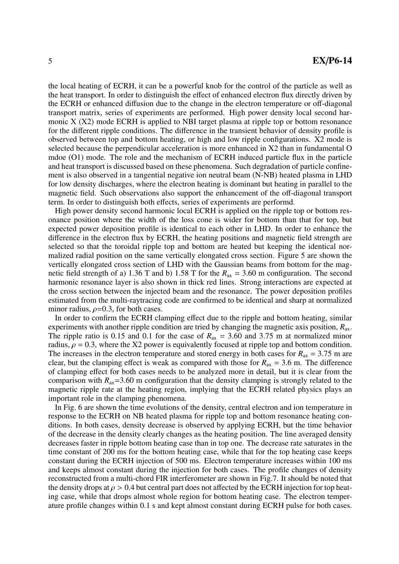the local heating of ECRH, it can be a powerful knob for the control of the particle as well as the heat transport. In order to distinguish the effect of enhanced electron flux directly driven by the ECRH or enhanced diffusion due to the change in the electron temperature or off-diagonal transport matrix, series of experiments are performed. High power density local second harmonic X (X2) mode ECRH is applied to NBI target plasma at ripple top or bottom resonance for the different ripple conditions. The difference in the transient behavior of density profile is observed between top and bottom heating, or high and low ripple configurations. X2 mode is selected because the perpendicular acceleration is more enhanced in X2 than in fundamental O mdoe (O1) mode. The role and the mechanism of ECRH induced particle flux in the particle and heat transport is discussed based on these phenomena. Such degradation of particle confinement is also observed in a tangential negative ion neutral beam (N-NB) heated plasma in LHD for low density discharges, where the electron heating is dominant but heating in parallel to the magnetic field. Such observations also support the enhancement of the off-diagonal transport term. In order to distinguish both effects, series of experiments are performd.

High power density second harmonic local ECRH is applied on the ripple top or bottom resonance position where the width of the loss cone is wider for bottom than that for top, but expected power deposition profile is identical to each other in LHD. In order to enhance the difference in the electron flux by ECRH, the heating positions and magnetic field strength are selected so that the toroidal ripple top and bottom are heated but keeping the identical normalized radial position on the same vertically elongated cross section. Figure 5 are shown the vertically elongated cross section of LHD with the Gaussian beams from bottom for the magnetic field strength of a) 1.36 T and b) 1.58 T for the  $R_{ax} = 3.60$  m configuration. The second harmonic resonance layer is also shown in thick red lines. Strong interactions are expected at the cross section between the injected beam and the resonance. The power deposition profiles estimated from the multi-raytracing code are confirmed to be identical and sharp at normalized minor radius,  $\rho$ =0.3, for both cases.

In order to confirm the ECRH clamping effect due to the ripple and bottom heating, similar experiments with another ripple condition are tried by changing the magnetic axis position, *R*ax. The ripple ratio is 0.15 and 0.1 for the case of  $R_{ax} = 3.60$  and 3.75 m at normalized minor radius,  $\rho = 0.3$ , where the X2 power is equivalently focused at ripple top and bottom condition. The increases in the electron temperature and stored energy in both cases for  $R_{ax} = 3.75$  m are clear, but the clamping effect is weak as compared with those for  $R_{ax} = 3.6$  m. The difference of clamping effect for both cases needs to be analyzed more in detail, but it is clear from the comparison with  $R_{ax}$ =3.60 m configuration that the density clamping is strongly related to the magnetic ripple rate at the heating region, implying that the ECRH related physics plays an important role in the clamping phenomena.

In Fig. 6 are shown the time evolutions of the density, central electron and ion temperature in response to the ECRH on NB heated plasma for ripple top and bottom resonance heating conditions. In both cases, density decrease is observed by applying ECRH, but the time behavior of the decrease in the density clearly changes as the heating position. The line averaged density decreases faster in ripple bottom heating case than in top one. The decrease rate saturates in the time constant of 200 ms for the bottom heating case, while that for the top heating case keeps constant during the ECRH injection of 500 ms. Electron temperature increases within 100 ms and keeps almost constant during the injection for both cases. The profile changes of density reconstructed from a multi-chord FIR interferometer are shown in Fig.7. It should be noted that the density drops at  $\rho > 0.4$  but central part does not affected by the ECRH injection for top heating case, while that drops almost whole region for bottom heating case. The electron temperature profile changes within 0.1 s and kept almost constant during ECRH pulse for both cases.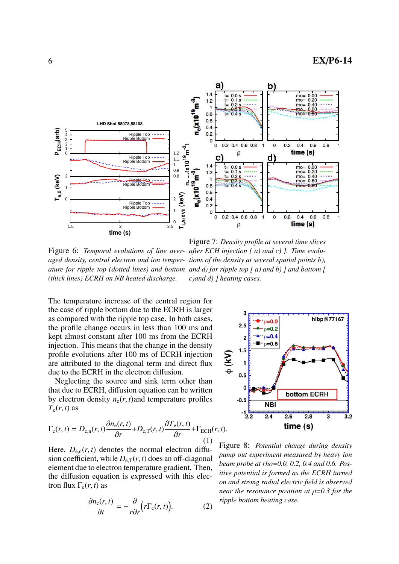

Figure 6: Temporal evolutions of line aver- after ECH injection [a) and c) ]. Time evolu*aged density, central electron and ion temper-tions of the density at several spatial points b), ature for ripple top (dotted lines) and bottom and d) for ripple top [a) and b) ] and bottom [ (thick lines) ECRH on NB heated discharge. c)and d) ] heating cases.*

The temperature increase of the central region for the case of ripple bottom due to the ECRH is larger as compared with the ripple top case. In both cases, the profile change occurs in less than 100 ms and kept almost constant after 100 ms from the ECRH injection. This means that the change in the density profile evolutions after 100 ms of ECRH injection are attributed to the diagonal term and direct flux due to the ECRH in the electron diffusion.

Neglecting the source and sink term other than that due to ECRH, diffusion equation can be written by electron density  $n_e(r, t)$  and temperature profiles  $T_e(r, t)$  as

$$
\Gamma_{\rm e}(r,t) = D_{\rm e,n}(r,t) \frac{\partial n_{\rm e}(r,t)}{\partial r} + D_{\rm e,T}(r,t) \frac{\partial T_{\rm e}(r,t)}{\partial r} + \Gamma_{\rm ECH}(r,t)
$$
\n(1)

Here,  $D_{e,n}(r, t)$  denotes the normal electron diffusion coefficient, while  $D_{e,T}(r, t)$  does an off-diagonal element due to electron temperature gradient. Then, the diffusion equation is expressed with this electron flux  $\Gamma_e(r, t)$  as

$$
\frac{\partial n_{\rm e}(r,t)}{\partial t} = -\frac{\partial}{r \partial r} \Big( r \Gamma_{\rm e}(r,t) \Big). \tag{2}
$$



Figure 8: *Potential change during density pump out experiment measured by heavy ion beam probe at rho*=*0.0, 0.2, 0.4 and 0.6. Positive potential is formed as the ECRH turned on and strong radial electric field is observed near the resonance position at* ρ=*0.3 for the ripple bottom heating case.*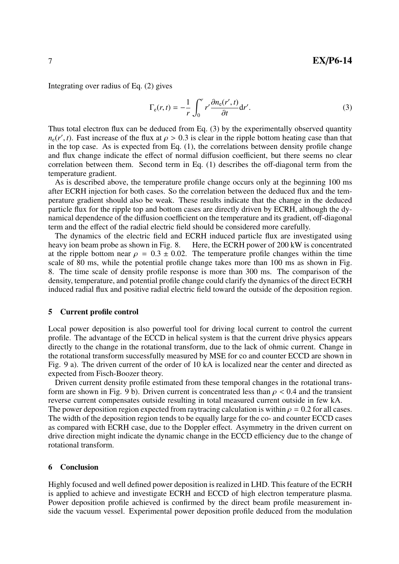Integrating over radius of Eq. (2) gives

$$
\Gamma_{\rm e}(r,t) = -\frac{1}{r} \int_0^r r' \frac{\partial n_{\rm e}(r',t)}{\partial t} \mathrm{d}r'.\tag{3}
$$

Thus total electron flux can be deduced from Eq. (3) by the experimentally observed quantity  $n_e(r', t)$ . Fast increase of the flux at  $\rho > 0.3$  is clear in the ripple bottom heating case than that in the top case. As is expected from Eq. (1), the correlations between density profile change and flux change indicate the effect of normal diffusion coefficient, but there seems no clear correlation between them. Second term in Eq. (1) describes the off-diagonal term from the temperature gradient.

As is described above, the temperature profile change occurs only at the beginning 100 ms after ECRH injection for both cases. So the correlation between the deduced flux and the temperature gradient should also be weak. These results indicate that the change in the deduced particle flux for the ripple top and bottom cases are directly driven by ECRH, although the dynamical dependence of the diffusion coefficient on the temperature and its gradient, off-diagonal term and the effect of the radial electric field should be considered more carefully.

The dynamics of the electric field and ECRH induced particle flux are investigated using heavy ion beam probe as shown in Fig. 8. Here, the ECRH power of 200 kW is concentrated at the ripple bottom near  $\rho = 0.3 \pm 0.02$ . The temperature profile changes within the time scale of 80 ms, while the potential profile change takes more than 100 ms as shown in Fig. 8. The time scale of density profile response is more than 300 ms. The comparison of the density, temperature, and potential profile change could clarify the dynamics of the direct ECRH induced radial flux and positive radial electric field toward the outside of the deposition region.

#### 5 Current profile control

Local power deposition is also powerful tool for driving local current to control the current profile. The advantage of the ECCD in helical system is that the current drive physics appears directly to the change in the rotational transform, due to the lack of ohmic current. Change in the rotational transform successfully measured by MSE for co and counter ECCD are shown in Fig. 9 a). The driven current of the order of 10 kA is localized near the center and directed as expected from Fisch-Boozer theory.

Driven current density profile estimated from these temporal changes in the rotational transform are shown in Fig. 9 b). Driven current is concentrated less than  $\rho < 0.4$  and the transient reverse current compensates outside resulting in total measured current outside in few kA. The power deposition region expected from raytracing calculation is within  $\rho = 0.2$  for all cases. The width of the deposition region tends to be equally large for the co- and counter ECCD cases as compared with ECRH case, due to the Doppler effect. Asymmetry in the driven current on drive direction might indicate the dynamic change in the ECCD efficiency due to the change of rotational transform.

#### 6 Conclusion

Highly focused and well defined power deposition is realized in LHD. This feature of the ECRH is applied to achieve and investigate ECRH and ECCD of high electron temperature plasma. Power deposition profile achieved is confirmed by the direct beam profile measurement inside the vacuum vessel. Experimental power deposition profile deduced from the modulation